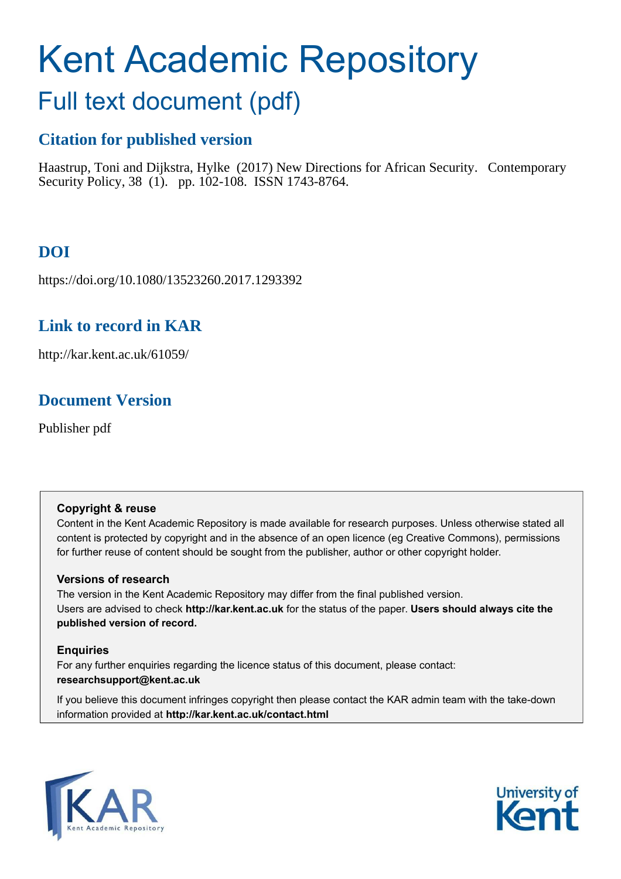# Kent Academic Repository

# Full text document (pdf)

## **Citation for published version**

Haastrup, Toni and Dijkstra, Hylke (2017) New Directions for African Security. Contemporary Security Policy, 38 (1). pp. 102-108. ISSN 1743-8764.

# **DOI**

https://doi.org/10.1080/13523260.2017.1293392

# **Link to record in KAR**

http://kar.kent.ac.uk/61059/

## **Document Version**

Publisher pdf

#### **Copyright & reuse**

Content in the Kent Academic Repository is made available for research purposes. Unless otherwise stated all content is protected by copyright and in the absence of an open licence (eg Creative Commons), permissions for further reuse of content should be sought from the publisher, author or other copyright holder.

#### **Versions of research**

The version in the Kent Academic Repository may differ from the final published version. Users are advised to check **http://kar.kent.ac.uk** for the status of the paper. **Users should always cite the published version of record.**

#### **Enquiries**

For any further enquiries regarding the licence status of this document, please contact: **researchsupport@kent.ac.uk**

If you believe this document infringes copyright then please contact the KAR admin team with the take-down information provided at **http://kar.kent.ac.uk/contact.html**



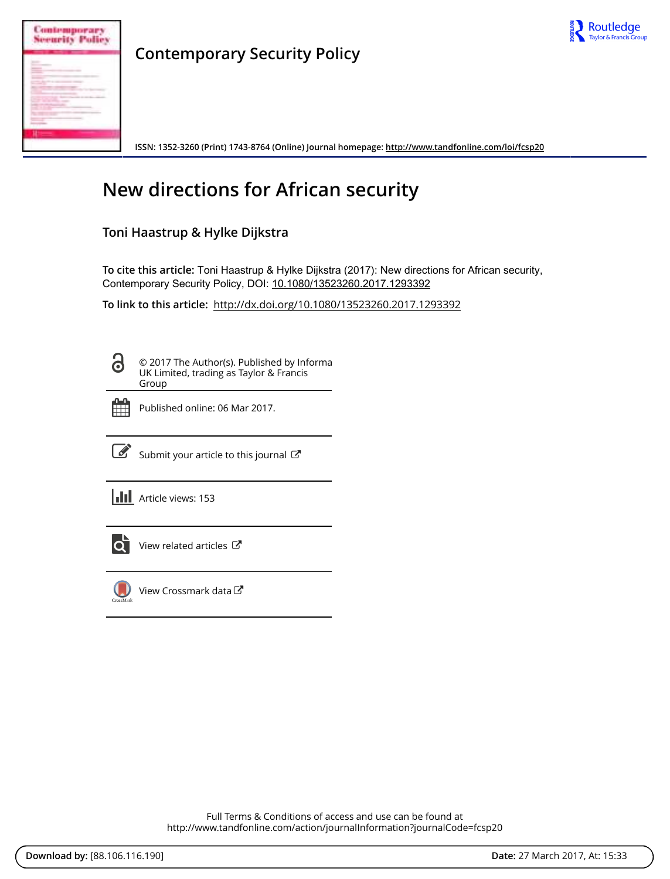

<span id="page-1-0"></span>

| Contemporary<br>Security Policy |
|---------------------------------|
|                                 |
|                                 |
|                                 |
|                                 |

# **Contemporary Security Policy**

**ISSN: 1352-3260 (Print) 1743-8764 (Online) Journal homepage:<http://www.tandfonline.com/loi/fcsp20>**

# **New directions for African security**

#### **Toni Haastrup & Hylke Dijkstra**

**To cite this article:** Toni Haastrup & Hylke Dijkstra (2017): New directions for African security, Contemporary Security Policy, DOI: [10.1080/13523260.2017.1293392](http://www.tandfonline.com/action/showCitFormats?doi=10.1080/13523260.2017.1293392)

**To link to this article:** <http://dx.doi.org/10.1080/13523260.2017.1293392>

6

© 2017 The Author(s). Published by Informa UK Limited, trading as Taylor & Francis Group



Published online: 06 Mar 2017.



 $\overrightarrow{S}$  [Submit your article to this journal](http://www.tandfonline.com/action/authorSubmission?journalCode=fcsp20&show=instructions)  $\overrightarrow{S}$ 





 $\overrightarrow{Q}$  [View related articles](http://www.tandfonline.com/doi/mlt/10.1080/13523260.2017.1293392)  $\overrightarrow{C}$ 



[View Crossmark data](http://crossmark.crossref.org/dialog/?doi=10.1080/13523260.2017.1293392&domain=pdf&date_stamp=2017-03-06)<sup>C</sup>

Full Terms & Conditions of access and use can be found at <http://www.tandfonline.com/action/journalInformation?journalCode=fcsp20>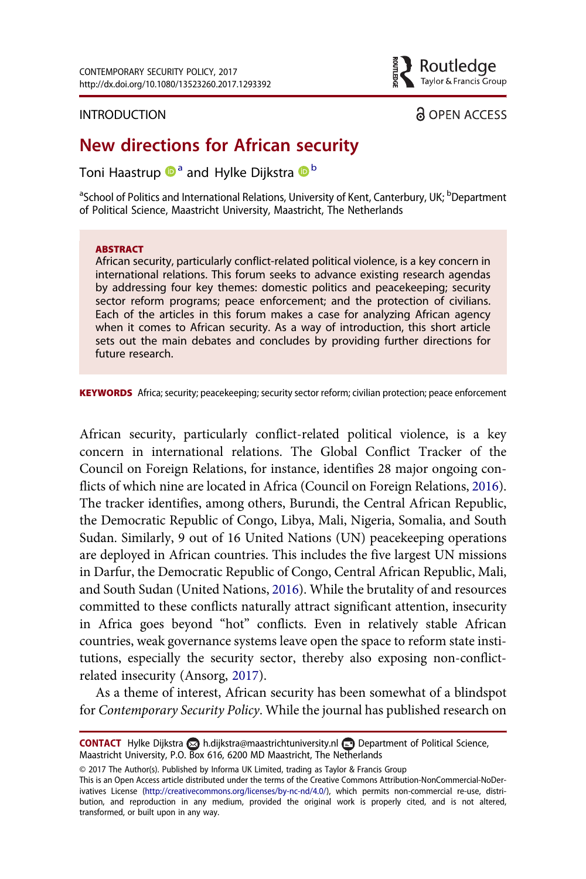

#### <span id="page-2-0"></span>**INTRODUCTION**

<u>ခါ OPEN ACCESS</u>

#### New directions for African security

Toni H[a](#page-1-0)astrup <sup>na</sup> and Hylke Dijkstra <sup>n[b](#page-1-0)</sup>

<sup>a</sup>School of Politics and International Relations, University of Kent, Canterbury, UK; <sup>b</sup>Department of Political Science, Maastricht University, Maastricht, The Netherlands

#### ABSTRACT

African security, particularly conflict-related political violence, is a key concern in international relations. This forum seeks to advance existing research agendas by addressing four key themes: domestic politics and peacekeeping; security sector reform programs; peace enforcement; and the protection of civilians. Each of the articles in this forum makes a case for analyzing African agency when it comes to African security. As a way of introduction, this short article sets out the main debates and concludes by providing further directions for future research.

KEYWORDS Africa; security; peacekeeping; security sector reform; civilian protection; peace enforcement

African security, particularly conflict-related political violence, is a key concern in international relations. The Global Conflict Tracker of the Council on Foreign Relations, for instance, identifies 28 major ongoing conflicts of which nine are located in Africa (Council on Foreign Relations, [2016](#page-6-0)). The tracker identifies, among others, Burundi, the Central African Republic, the Democratic Republic of Congo, Libya, Mali, Nigeria, Somalia, and South Sudan. Similarly, 9 out of 16 United Nations (UN) peacekeeping operations are deployed in African countries. This includes the five largest UN missions in Darfur, the Democratic Republic of Congo, Central African Republic, Mali, and South Sudan (United Nations, [2016](#page-7-0)). While the brutality of and resources committed to these conflicts naturally attract significant attention, insecurity in Africa goes beyond "hot" conflicts. Even in relatively stable African countries, weak governance systems leave open the space to reform state institutions, especially the security sector, thereby also exposing non-conflictrelated insecurity (Ansorg, [2017](#page-5-0)).

As a theme of interest, African security has been somewhat of a blindspot for Contemporary Security Policy. While the journal has published research on

#### CONTACT Hylke Dijkstra [h.dijkstra@maastrichtuniversity.nl](mailto:h.dijkstra@maastrichtuniversity.nl) Department of Political Science, Maastricht University, P.O. Box 616, 6200 MD Maastricht, The Netherlands

© 2017 The Author(s). Published by Informa UK Limited, trading as Taylor & Francis Group

This is an Open Access article distributed under the terms of the Creative Commons Attribution-NonCommercial-NoDerivatives License [\(http://creativecommons.org/licenses/by-nc-nd/4.0/](http://creativecommons.org/licenses/by-nc-nd/4.0/)), which permits non-commercial re-use, distribution, and reproduction in any medium, provided the original work is properly cited, and is not altered, transformed, or built upon in any way.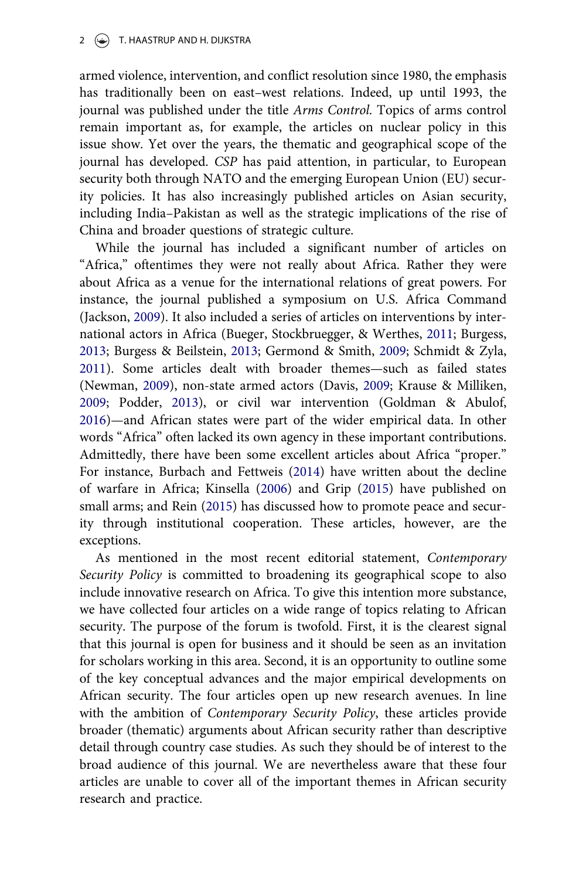<span id="page-3-0"></span>armed violence, intervention, and conflict resolution since 1980, the emphasis has traditionally been on east–west relations. Indeed, up until 1993, the journal was published under the title Arms Control. Topics of arms control remain important as, for example, the articles on nuclear policy in this issue show. Yet over the years, the thematic and geographical scope of the journal has developed. CSP has paid attention, in particular, to European security both through NATO and the emerging European Union (EU) security policies. It has also increasingly published articles on Asian security, including India–Pakistan as well as the strategic implications of the rise of China and broader questions of strategic culture.

While the journal has included a significant number of articles on "Africa," oftentimes they were not really about Africa. Rather they were about Africa as a venue for the international relations of great powers. For instance, the journal published a symposium on U.S. Africa Command (Jackson, [2009](#page-6-0)). It also included a series of articles on interventions by international actors in Africa (Bueger, Stockbruegger, & Werthes, [2011](#page-6-0); Burgess, [2013](#page-6-0); Burgess & Beilstein, [2013](#page-6-0); Germond & Smith, [2009](#page-6-0); Schmidt & Zyla, [2011](#page-7-0)). Some articles dealt with broader themes—such as failed states (Newman, [2009\)](#page-7-0), non-state armed actors (Davis, [2009](#page-6-0); Krause & Milliken, [2009](#page-7-0); Podder, [2013\)](#page-7-0), or civil war intervention (Goldman & Abulof, [2016](#page-6-0))—and African states were part of the wider empirical data. In other words "Africa" often lacked its own agency in these important contributions. Admittedly, there have been some excellent articles about Africa "proper." For instance, Burbach and Fettweis [\(2014](#page-6-0)) have written about the decline of warfare in Africa; Kinsella ([2006\)](#page-7-0) and Grip [\(2015](#page-6-0)) have published on small arms; and Rein [\(2015](#page-7-0)) has discussed how to promote peace and security through institutional cooperation. These articles, however, are the exceptions.

As mentioned in the most recent editorial statement, Contemporary Security Policy is committed to broadening its geographical scope to also include innovative research on Africa. To give this intention more substance, we have collected four articles on a wide range of topics relating to African security. The purpose of the forum is twofold. First, it is the clearest signal that this journal is open for business and it should be seen as an invitation for scholars working in this area. Second, it is an opportunity to outline some of the key conceptual advances and the major empirical developments on African security. The four articles open up new research avenues. In line with the ambition of Contemporary Security Policy, these articles provide broader (thematic) arguments about African security rather than descriptive detail through country case studies. As such they should be of interest to the broad audience of this journal. We are nevertheless aware that these four articles are unable to cover all of the important themes in African security research and practice.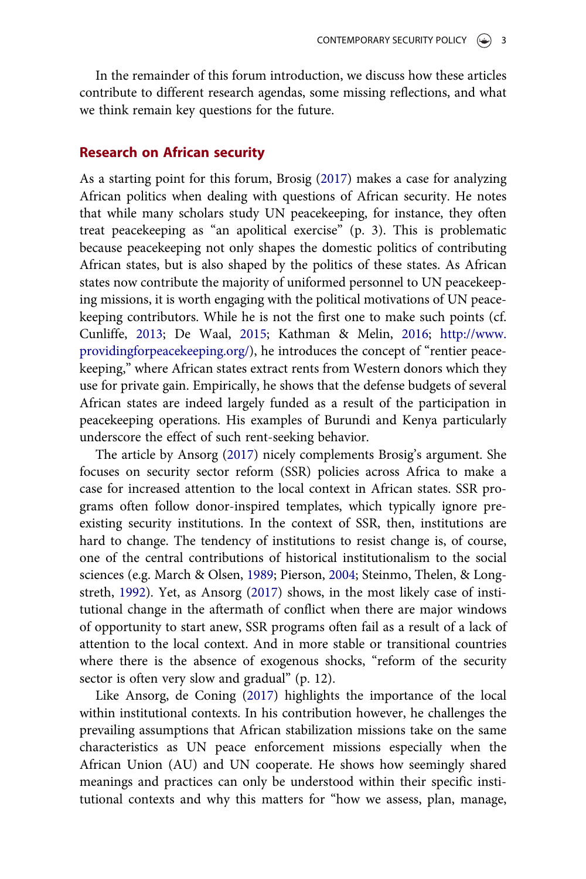<span id="page-4-0"></span>In the remainder of this forum introduction, we discuss how these articles contribute to different research agendas, some missing reflections, and what we think remain key questions for the future.

#### Research on African security

As a starting point for this forum, Brosig ([2017\)](#page-5-0) makes a case for analyzing African politics when dealing with questions of African security. He notes that while many scholars study UN peacekeeping, for instance, they often treat peacekeeping as "an apolitical exercise" (p. 3). This is problematic because peacekeeping not only shapes the domestic politics of contributing African states, but is also shaped by the politics of these states. As African states now contribute the majority of uniformed personnel to UN peacekeeping missions, it is worth engaging with the political motivations of UN peacekeeping contributors. While he is not the first one to make such points (cf. Cunliffe, [2013;](#page-6-0) De Waal, [2015](#page-6-0); Kathman & Melin, [2016](#page-7-0); [http://www.](http://www.providingforpeacekeeping.org/) [providingforpeacekeeping.org/\)](http://www.providingforpeacekeeping.org/), he introduces the concept of "rentier peacekeeping," where African states extract rents from Western donors which they use for private gain. Empirically, he shows that the defense budgets of several African states are indeed largely funded as a result of the participation in peacekeeping operations. His examples of Burundi and Kenya particularly underscore the effect of such rent-seeking behavior.

The article by Ansorg [\(2017](#page-5-0)) nicely complements Brosig's argument. She focuses on security sector reform (SSR) policies across Africa to make a case for increased attention to the local context in African states. SSR programs often follow donor-inspired templates, which typically ignore preexisting security institutions. In the context of SSR, then, institutions are hard to change. The tendency of institutions to resist change is, of course, one of the central contributions of historical institutionalism to the social sciences (e.g. March & Olsen, [1989](#page-7-0); Pierson, [2004](#page-7-0); Steinmo, Thelen, & Longstreth, [1992\)](#page-7-0). Yet, as Ansorg [\(2017\)](#page-5-0) shows, in the most likely case of institutional change in the aftermath of conflict when there are major windows of opportunity to start anew, SSR programs often fail as a result of a lack of attention to the local context. And in more stable or transitional countries where there is the absence of exogenous shocks, "reform of the security sector is often very slow and gradual" (p. 12).

Like Ansorg, de Coning [\(2017](#page-6-0)) highlights the importance of the local within institutional contexts. In his contribution however, he challenges the prevailing assumptions that African stabilization missions take on the same characteristics as UN peace enforcement missions especially when the African Union (AU) and UN cooperate. He shows how seemingly shared meanings and practices can only be understood within their specific institutional contexts and why this matters for "how we assess, plan, manage,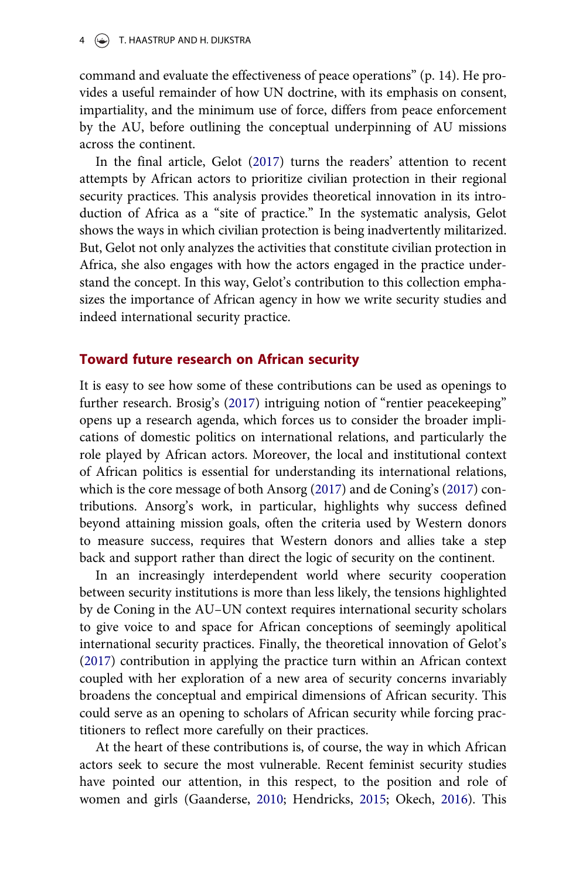<span id="page-5-0"></span>command and evaluate the effectiveness of peace operations" (p. 14). He provides a useful remainder of how UN doctrine, with its emphasis on consent, impartiality, and the minimum use of force, differs from peace enforcement by the AU, before outlining the conceptual underpinning of AU missions across the continent.

In the final article, Gelot ([2017\)](#page-6-0) turns the readers' attention to recent attempts by African actors to prioritize civilian protection in their regional security practices. This analysis provides theoretical innovation in its introduction of Africa as a "site of practice." In the systematic analysis, Gelot shows the ways in which civilian protection is being inadvertently militarized. But, Gelot not only analyzes the activities that constitute civilian protection in Africa, she also engages with how the actors engaged in the practice understand the concept. In this way, Gelot's contribution to this collection emphasizes the importance of African agency in how we write security studies and indeed international security practice.

#### Toward future research on African security

It is easy to see how some of these contributions can be used as openings to further research. Brosig's (2017) intriguing notion of "rentier peacekeeping" opens up a research agenda, which forces us to consider the broader implications of domestic politics on international relations, and particularly the role played by African actors. Moreover, the local and institutional context of African politics is essential for understanding its international relations, which is the core message of both Ansorg (2017) and de Coning's [\(2017](#page-6-0)) contributions. Ansorg's work, in particular, highlights why success defined beyond attaining mission goals, often the criteria used by Western donors to measure success, requires that Western donors and allies take a step back and support rather than direct the logic of security on the continent.

In an increasingly interdependent world where security cooperation between security institutions is more than less likely, the tensions highlighted by de Coning in the AU–UN context requires international security scholars to give voice to and space for African conceptions of seemingly apolitical international security practices. Finally, the theoretical innovation of Gelot's ([2017\)](#page-6-0) contribution in applying the practice turn within an African context coupled with her exploration of a new area of security concerns invariably broadens the conceptual and empirical dimensions of African security. This could serve as an opening to scholars of African security while forcing practitioners to reflect more carefully on their practices.

At the heart of these contributions is, of course, the way in which African actors seek to secure the most vulnerable. Recent feminist security studies have pointed our attention, in this respect, to the position and role of women and girls (Gaanderse, [2010;](#page-6-0) Hendricks, [2015](#page-6-0); Okech, [2016\)](#page-7-0). This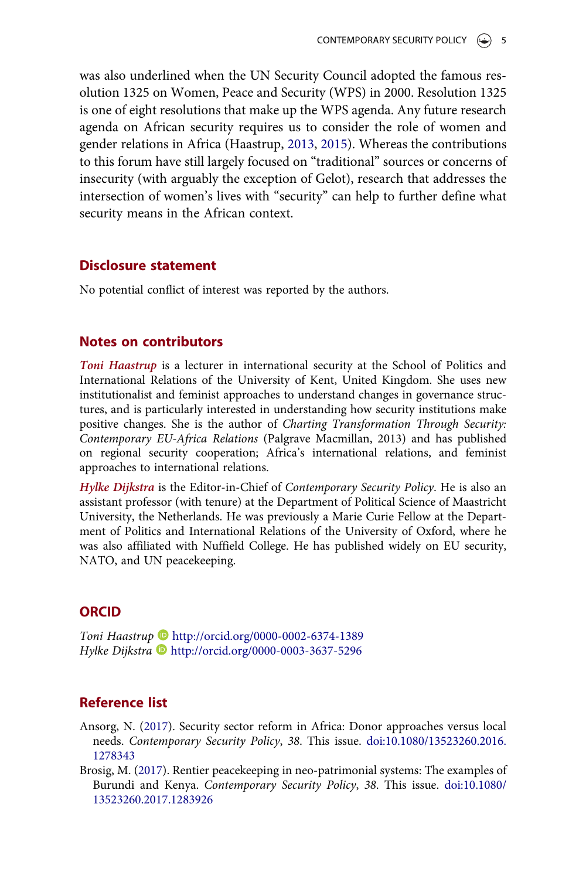<span id="page-6-0"></span>was also underlined when the UN Security Council adopted the famous resolution 1325 on Women, Peace and Security (WPS) in 2000. Resolution 1325 is one of eight resolutions that make up the WPS agenda. Any future research agenda on African security requires us to consider the role of women and gender relations in Africa (Haastrup, 2013, 2015). Whereas the contributions to this forum have still largely focused on "traditional" sources or concerns of insecurity (with arguably the exception of Gelot), research that addresses the intersection of women's lives with "security" can help to further define what security means in the African context.

#### Disclosure statement

No potential conflict of interest was reported by the authors.

#### Notes on contributors

Toni Haastrup is a lecturer in international security at the School of Politics and International Relations of the University of Kent, United Kingdom. She uses new institutionalist and feminist approaches to understand changes in governance structures, and is particularly interested in understanding how security institutions make positive changes. She is the author of Charting Transformation Through Security: Contemporary EU-Africa Relations (Palgrave Macmillan, 2013) and has published on regional security cooperation; Africa's international relations, and feminist approaches to international relations.

Hylke Dijkstra is the Editor-in-Chief of Contemporary Security Policy. He is also an assistant professor (with tenure) at the Department of Political Science of Maastricht University, the Netherlands. He was previously a Marie Curie Fellow at the Department of Politics and International Relations of the University of Oxford, where he was also affiliated with Nuffield College. He has published widely on EU security, NATO, and UN peacekeeping.

#### **ORCID**

Toni Haastrup D <http://orcid.org/0000-0002-6374-1389> Hylke Dijkstra **<http://orcid.org/0000-0003-3637-5296>** 

#### Reference list

- Ansorg, N. ([2017\)](#page-1-0). Security sector reform in Africa: Donor approaches versus local needs. Contemporary Security Policy, 38. This issue. [doi:10.1080/13523260.2016.](http://dx.doi.org/10.1080/13523260.2016.1278343) [1278343](http://dx.doi.org/10.1080/13523260.2016.1278343)
- Brosig, M. [\(2017\)](#page-3-0). Rentier peacekeeping in neo-patrimonial systems: The examples of Burundi and Kenya. Contemporary Security Policy, 38. This issue. [doi:10.1080/](http://dx.doi.org/10.1080/13523260.2017.1283926) [13523260.2017.1283926](http://dx.doi.org/10.1080/13523260.2017.1283926)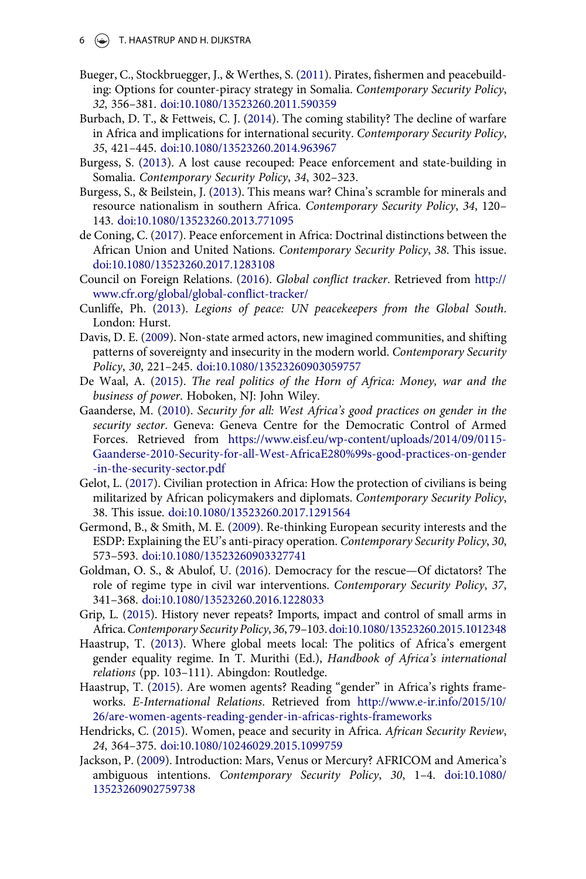- <span id="page-7-0"></span> $6 \quad \textcircled{\textcircled{\textcircled{\small{-}}}}$  T. HAASTRUP AND H. DIJKSTRA
- Bueger, C., Stockbruegger, J., & Werthes, S. ([2011\)](#page-2-0). Pirates, fishermen and peacebuilding: Options for counter-piracy strategy in Somalia. Contemporary Security Policy, 32, 356–381. [doi:10.1080/13523260.2011.590359](http://dx.doi.org/10.1080/13523260.2011.590359)
- Burbach, D. T., & Fettweis, C. J. ([2014](#page-2-0)). The coming stability? The decline of warfare in Africa and implications for international security. Contemporary Security Policy, 35, 421–445. [doi:10.1080/13523260.2014.963967](http://dx.doi.org/10.1080/13523260.2014.963967)
- Burgess, S. ([2013](#page-2-0)). A lost cause recouped: Peace enforcement and state-building in Somalia. Contemporary Security Policy, 34, 302–323.
- Burgess, S., & Beilstein, J. ([2013](#page-2-0)). This means war? China's scramble for minerals and resource nationalism in southern Africa. Contemporary Security Policy, 34, 120– 143. [doi:10.1080/13523260.2013.771095](http://dx.doi.org/10.1080/13523260.2013.771095)
- de Coning, C. ([2017](#page-3-0)). Peace enforcement in Africa: Doctrinal distinctions between the African Union and United Nations. Contemporary Security Policy, 38. This issue. [doi:10.1080/13523260.2017.1283108](http://dx.doi.org/10.1080/13523260.2017.1283108)
- Council on Foreign Relations. ([2016\)](#page-1-0). Global conflict tracker. Retrieved from [http://](http://www.cfr.org/global/global-conflict-tracker/) [www.cfr.org/global/global-conflict-tracker/](http://www.cfr.org/global/global-conflict-tracker/)
- Cunliffe, Ph. [\(2013\)](#page-3-0). Legions of peace: UN peacekeepers from the Global South. London: Hurst.
- Davis, D. E. ([2009\)](#page-2-0). Non-state armed actors, new imagined communities, and shifting patterns of sovereignty and insecurity in the modern world. Contemporary Security Policy, 30, 221–245. [doi:10.1080/13523260903059757](http://dx.doi.org/10.1080/13523260903059757)
- De Waal, A. ([2015](#page-3-0)). The real politics of the Horn of Africa: Money, war and the business of power. Hoboken, NJ: John Wiley.
- Gaanderse, M. [\(2010](#page-4-0)). Security for all: West Africa's good practices on gender in the security sector. Geneva: Geneva Centre for the Democratic Control of Armed Forces. Retrieved from [https://www.eisf.eu/wp-content/uploads/2014/09/0115-](https://www.eisf.eu/wp-content/uploads/2014/09/0115-Gaanderse-2010-Security-for-all-West-AfricaE280%99s-good-practices-on-gender-in-the-security-sector.pdf) [Gaanderse-2010-Security-for-all-West-AfricaE280%99s-good-practices-on-gender](https://www.eisf.eu/wp-content/uploads/2014/09/0115-Gaanderse-2010-Security-for-all-West-AfricaE280%99s-good-practices-on-gender-in-the-security-sector.pdf) [-in-the-security-sector.pdf](https://www.eisf.eu/wp-content/uploads/2014/09/0115-Gaanderse-2010-Security-for-all-West-AfricaE280%99s-good-practices-on-gender-in-the-security-sector.pdf)
- Gelot, L. ([2017\)](#page-4-0). Civilian protection in Africa: How the protection of civilians is being militarized by African policymakers and diplomats. Contemporary Security Policy, 38. This issue. [doi:10.1080/13523260.2017.1291564](http://dx.doi.org/10.1080/13523260.2017.1291564)
- Germond, B., & Smith, M. E. [\(2009](#page-2-0)). Re-thinking European security interests and the ESDP: Explaining the EU's anti-piracy operation. Contemporary Security Policy, 30, 573–593. [doi:10.1080/13523260903327741](http://dx.doi.org/10.1080/13523260903327741)
- Goldman, O. S., & Abulof, U. ([2016](#page-2-0)). Democracy for the rescue—Of dictators? The role of regime type in civil war interventions. Contemporary Security Policy, 37, 341–368. [doi:10.1080/13523260.2016.1228033](http://dx.doi.org/10.1080/13523260.2016.1228033)
- Grip, L. ([2015](#page-2-0)). History never repeats? Imports, impact and control of small arms in Africa.Contemporary Security Policy, 36, 79–103.[doi:10.1080/13523260.2015.1012348](http://dx.doi.org/10.1080/13523260.2015.1012348)
- Haastrup, T. ([2013](#page-5-0)). Where global meets local: The politics of Africa's emergent gender equality regime. In T. Murithi (Ed.), Handbook of Africa's international relations (pp. 103–111). Abingdon: Routledge.
- Haastrup, T. [\(2015\)](#page-5-0). Are women agents? Reading "gender" in Africa's rights frameworks. E-International Relations. Retrieved from [http://www.e-ir.info/2015/10/](http://www.e-ir.info/2015/10/26/are-women-agents-reading-gender-in-africas-rights-frameworks) [26/are-women-agents-reading-gender-in-africas-rights-frameworks](http://www.e-ir.info/2015/10/26/are-women-agents-reading-gender-in-africas-rights-frameworks)
- Hendricks, C. [\(2015](#page-4-0)). Women, peace and security in Africa. African Security Review, 24, 364–375. [doi:10.1080/10246029.2015.1099759](http://dx.doi.org/10.1080/10246029.2015.1099759)
- Jackson, P. [\(2009\)](#page-2-0). Introduction: Mars, Venus or Mercury? AFRICOM and America's ambiguous intentions. Contemporary Security Policy, 30, 1–4. [doi:10.1080/](http://dx.doi.org/10.1080/13523260902759738) [13523260902759738](http://dx.doi.org/10.1080/13523260902759738)